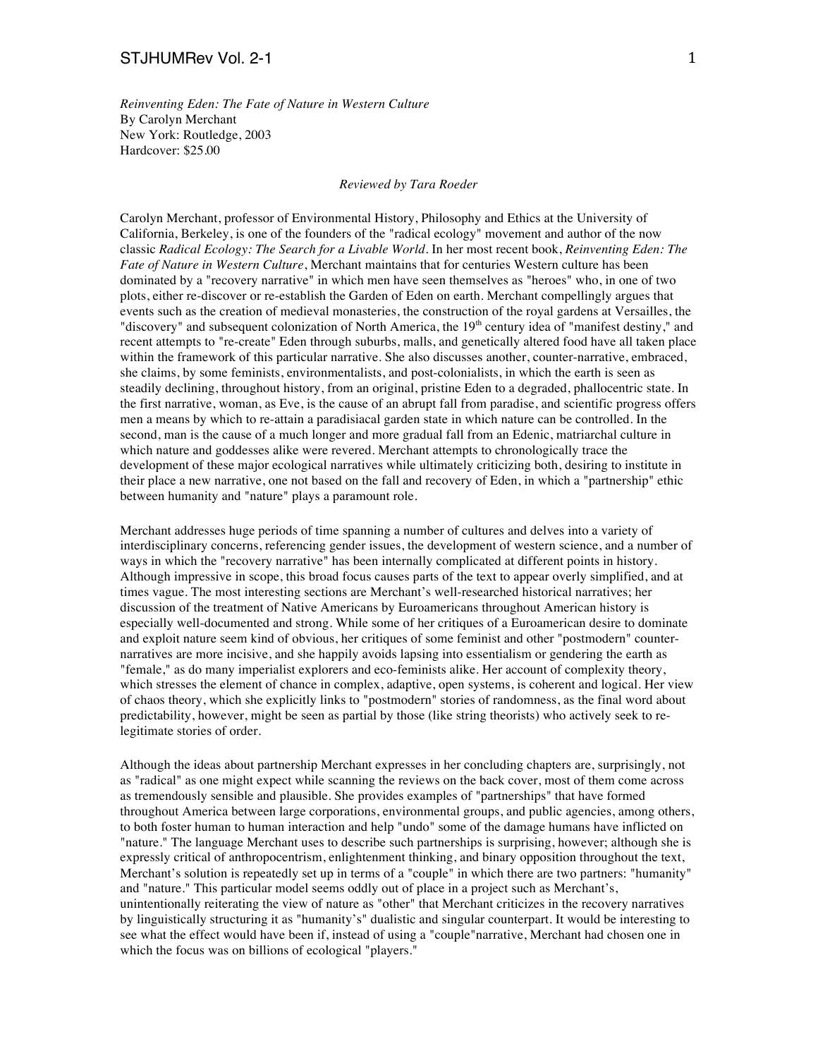*Reinventing Eden: The Fate of Nature in Western Culture* By Carolyn Merchant New York: Routledge, 2003 Hardcover: \$25.00

## *Reviewed by Tara Roeder*

Carolyn Merchant, professor of Environmental History, Philosophy and Ethics at the University of California, Berkeley, is one of the founders of the "radical ecology" movement and author of the now classic *Radical Ecology: The Search for a Livable World*. In her most recent book, *Reinventing Eden: The Fate of Nature in Western Culture*, Merchant maintains that for centuries Western culture has been dominated by a "recovery narrative" in which men have seen themselves as "heroes" who, in one of two plots, either re-discover or re-establish the Garden of Eden on earth. Merchant compellingly argues that events such as the creation of medieval monasteries, the construction of the royal gardens at Versailles, the "discovery" and subsequent colonization of North America, the  $19<sup>th</sup>$  century idea of "manifest destiny," and recent attempts to "re-create" Eden through suburbs, malls, and genetically altered food have all taken place within the framework of this particular narrative. She also discusses another, counter-narrative, embraced, she claims, by some feminists, environmentalists, and post-colonialists, in which the earth is seen as steadily declining, throughout history, from an original, pristine Eden to a degraded, phallocentric state. In the first narrative, woman, as Eve, is the cause of an abrupt fall from paradise, and scientific progress offers men a means by which to re-attain a paradisiacal garden state in which nature can be controlled. In the second, man is the cause of a much longer and more gradual fall from an Edenic, matriarchal culture in which nature and goddesses alike were revered. Merchant attempts to chronologically trace the development of these major ecological narratives while ultimately criticizing both, desiring to institute in their place a new narrative, one not based on the fall and recovery of Eden, in which a "partnership" ethic between humanity and "nature" plays a paramount role.

Merchant addresses huge periods of time spanning a number of cultures and delves into a variety of interdisciplinary concerns, referencing gender issues, the development of western science, and a number of ways in which the "recovery narrative" has been internally complicated at different points in history. Although impressive in scope, this broad focus causes parts of the text to appear overly simplified, and at times vague. The most interesting sections are Merchant's well-researched historical narratives; her discussion of the treatment of Native Americans by Euroamericans throughout American history is especially well-documented and strong. While some of her critiques of a Euroamerican desire to dominate and exploit nature seem kind of obvious, her critiques of some feminist and other "postmodern" counternarratives are more incisive, and she happily avoids lapsing into essentialism or gendering the earth as "female," as do many imperialist explorers and eco-feminists alike. Her account of complexity theory, which stresses the element of chance in complex, adaptive, open systems, is coherent and logical. Her view of chaos theory, which she explicitly links to "postmodern" stories of randomness, as the final word about predictability, however, might be seen as partial by those (like string theorists) who actively seek to relegitimate stories of order.

Although the ideas about partnership Merchant expresses in her concluding chapters are, surprisingly, not as "radical" as one might expect while scanning the reviews on the back cover, most of them come across as tremendously sensible and plausible. She provides examples of "partnerships" that have formed throughout America between large corporations, environmental groups, and public agencies, among others, to both foster human to human interaction and help "undo" some of the damage humans have inflicted on "nature." The language Merchant uses to describe such partnerships is surprising, however; although she is expressly critical of anthropocentrism, enlightenment thinking, and binary opposition throughout the text, Merchant's solution is repeatedly set up in terms of a "couple" in which there are two partners: "humanity" and "nature." This particular model seems oddly out of place in a project such as Merchant's, unintentionally reiterating the view of nature as "other" that Merchant criticizes in the recovery narratives by linguistically structuring it as "humanity's" dualistic and singular counterpart. It would be interesting to see what the effect would have been if, instead of using a "couple"narrative, Merchant had chosen one in which the focus was on billions of ecological "players."